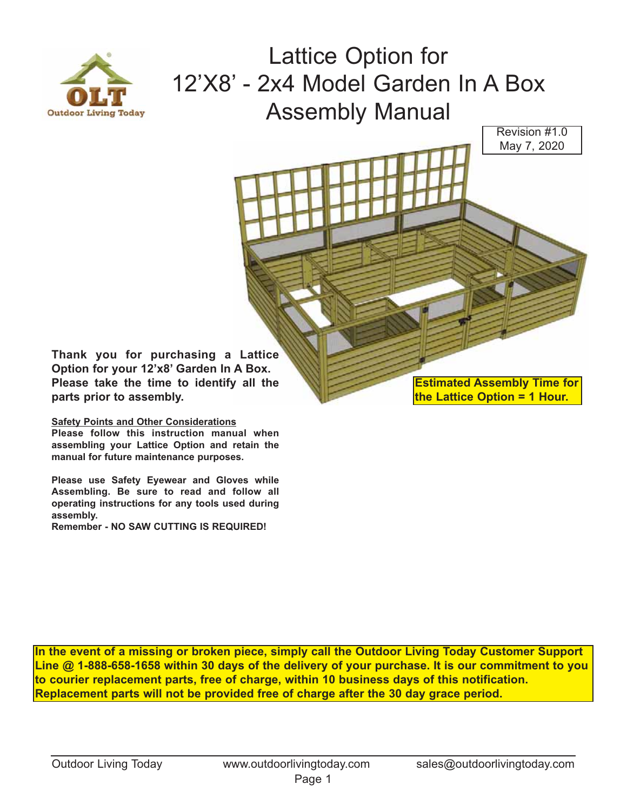

Lattice Option for 12'X8' - 2x4 Model Garden In A Box Assembly Manual

Revision #1.0 May 7, 2020

**Thank you for purchasing a Lattice Option for your 12'x8' Garden In A Box. Please take the time to identify all the parts prior to assembly.** 

## **Safety Points and Other Considerations**

**Please follow this instruction manual when assembling your Lattice Option and retain the manual for future maintenance purposes.** 

**Please use Safety Eyewear and Gloves while Assembling. Be sure to read and follow all operating instructions for any tools used during assembly.** 

**Remember - NO SAW CUTTING IS REQUIRED!**

**Estimated Assembly Time for the Lattice Option = 1 Hour.**

**In the event of a missing or broken piece, simply call the Outdoor Living Today Customer Support Line @ 1-888-658-1658 within 30 days of the delivery of your purchase. It is our commitment to you to courier replacement parts, free of charge, within 10 business days of this notification. Replacement parts will not be provided free of charge after the 30 day grace period.**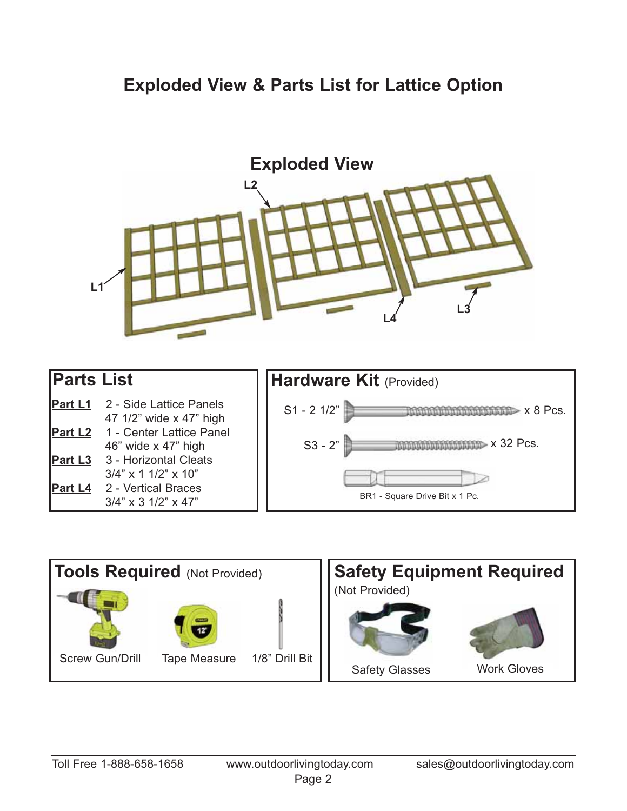## **Exploded View & Parts List for Lattice Option**



| <b>Parts List</b> |                                                    | <b>Hardware Kit (Provided)</b> |
|-------------------|----------------------------------------------------|--------------------------------|
| <b>Part L1</b>    | 2 - Side Lattice Panels<br>47 1/2" wide x 47" high | $S1 - 21/2"$<br>$\blacksquare$ |
| <b>Part L2</b>    | 1 - Center Lattice Panel<br>46" wide x 47" high    | $\gg$ x 32 Pcs.<br>$S3 - 2"$   |
| <b>Part L3</b>    | 3 - Horizontal Cleats<br>$3/4$ " x 1 1/2" x 10"    |                                |
| <b>Part L4</b>    | 2 - Vertical Braces<br>$3/4$ " x 3 $1/2$ " x 47"   | BR1 - Square Drive Bit x 1 Pc. |

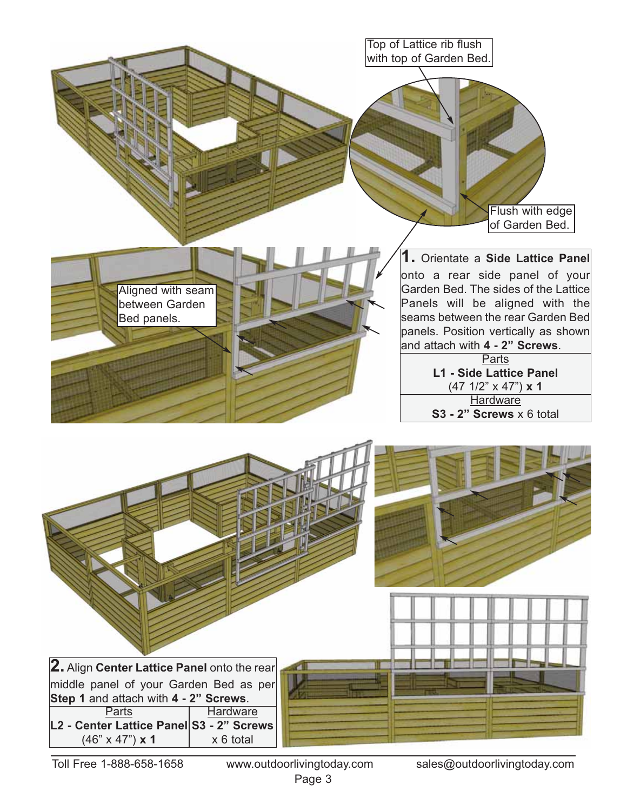

Page 3

Toll Free 1-888-658-1658 www.outdoorlivingtoday.com sales@outdoorlivingtoday.com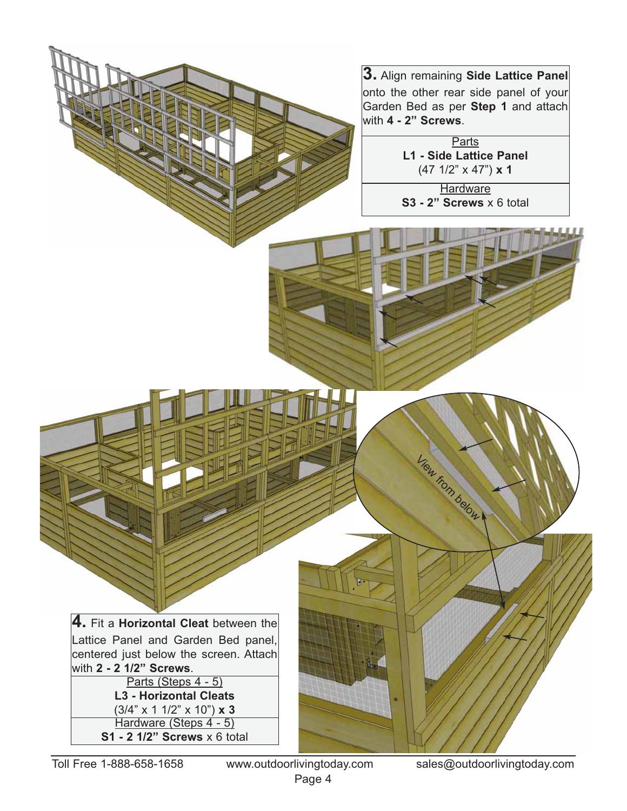**3.** Align remaining **Side Lattice Panel** onto the other rear side panel of your Garden Bed as per **Step 1** and attach with **4 - 2" Screws**.

> **Parts L1 - Side Lattice Panel**  (47 1/2" x 47") **x 1**

**Hardware S3 - 2" Screws** x 6 total

View from below

**4.** Fit a **Horizontal Cleat** between the Lattice Panel and Garden Bed panel, centered just below the screen. Attach with **2 - 2 1/2" Screws**.

Parts (Steps 4 - 5) **L3 - Horizontal Cleats**  (3/4" x 1 1/2" x 10") **x 3** Hardware (Steps 4 - 5) **S1 - 2 1/2" Screws** x 6 total

Page 4

Toll Free 1-888-658-1658 www.outdoorlivingtoday.com sales@outdoorlivingtoday.com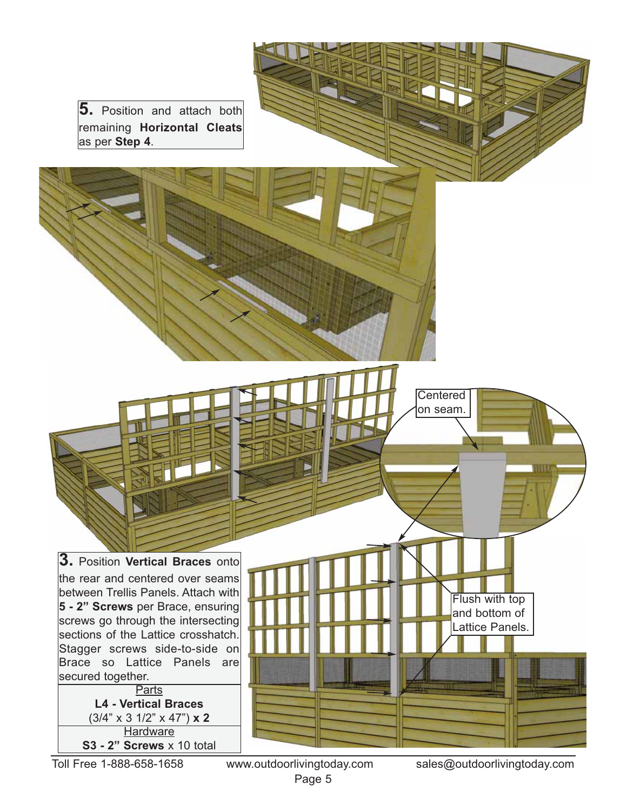**5.** Position and attach both remaining **Horizontal Cleats** as per **Step 4**.

**3.** Position **Vertical Braces** onto the rear and centered over seams between Trellis Panels. Attach with **5 - 2" Screws** per Brace, ensuring screws go through the intersecting sections of the Lattice crosshatch. Stagger screws side-to-side on Brace so Lattice Panels are secured together. **Parts L4 - Vertical Braces** 

(3/4" x 3 1/2" x 47") **x 2 Hardware S3 - 2" Screws** x 10 total

Page 5

Toll Free 1-888-658-1658 www.outdoorlivingtoday.com sales@outdoorlivingtoday.com

Flush with top and bottom of Lattice Panels.

Centered on seam.